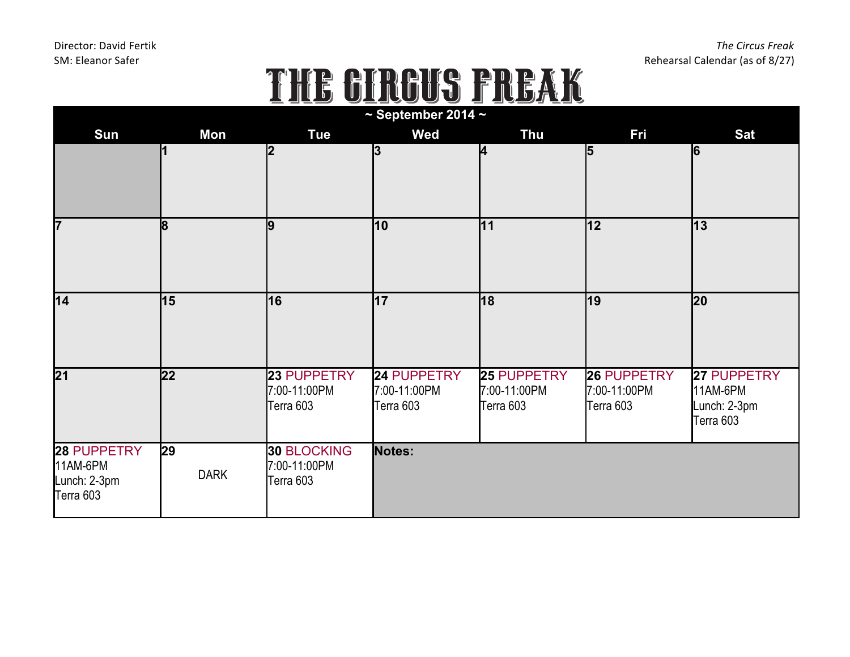## $SN: \text{Eleanor Safter}$ <br>  $\begin{array}{c} \text{Rhearsal Calendar (as of 8/27)} \end{array}$ <br>  $\begin{array}{c} \text{Rhearsal Calendar (as of 8/27)} \end{array}$

| <b>Sun</b>                                           | Mon               | <b>Tue</b>                                      | $\sim$ September 2014 $\sim$<br>Wed             | <b>Thu</b>                               | Fri                                      | <b>Sat</b>                                           |
|------------------------------------------------------|-------------------|-------------------------------------------------|-------------------------------------------------|------------------------------------------|------------------------------------------|------------------------------------------------------|
|                                                      |                   | l2                                              | 3                                               | 4                                        | 5                                        | 6                                                    |
| 7                                                    | 8                 | g                                               | 10                                              | 11                                       | 12                                       | $ 13\rangle$                                         |
| $\overline{14}$                                      | 15                | 16                                              | 17                                              | 18                                       | $\overline{19}$                          | $ 20\rangle$                                         |
| $\overline{21}$                                      | $ 22\rangle$      | 23 PUPPETRY<br>7:00-11:00PM<br>Terra 603        | <b>24 PUPPETRY</b><br>7:00-11:00PM<br>Terra 603 | 25 PUPPETRY<br>7:00-11:00PM<br>Terra 603 | 26 PUPPETRY<br>7:00-11:00PM<br>Terra 603 | 27 PUPPETRY<br>11AM-6PM<br>Lunch: 2-3pm<br>Terra 603 |
| 28 PUPPETRY<br>11AM-6PM<br>Lunch: 2-3pm<br>Terra 603 | 29<br><b>DARK</b> | <b>30 BLOCKING</b><br>7:00-11:00PM<br>Terra 603 | Notes:                                          |                                          |                                          |                                                      |